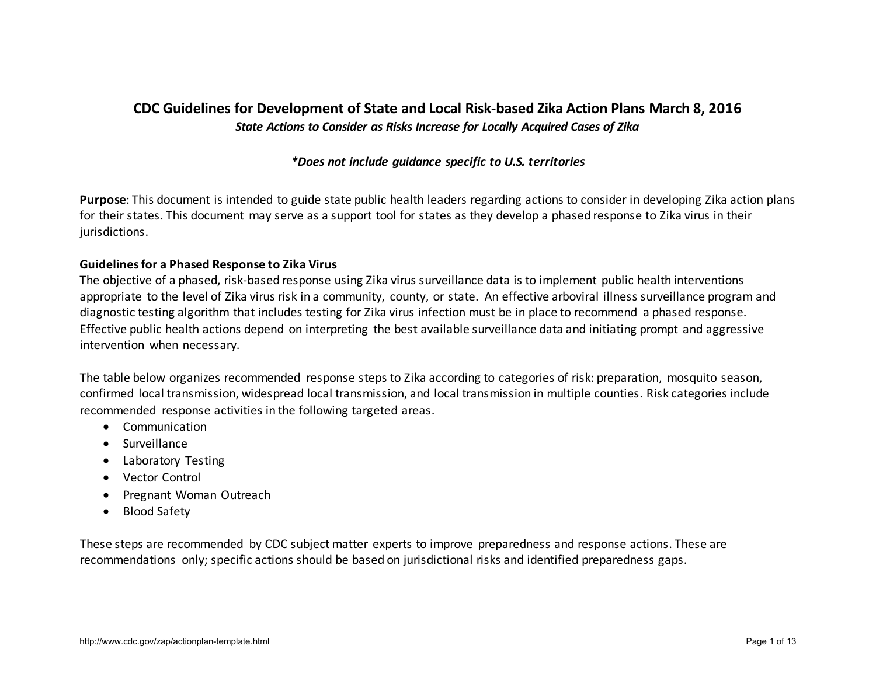## **CDC Guidelines for Development of State and Local Risk-based Zika Action Plans March 8, 2016**  *State Actions to Consider as Risks Increase for Locally Acquired Cases of Zika*

## *\*Does not include guidance specific to U.S. territories*

**Purpose**: This document is intended to guide state public health leaders regarding actions to consider in developing Zika action plans for their states. This document may serve as a support tool for states as they develop a phased response to Zika virus in their jurisdictions.

## **Guidelines for a Phased Response to Zika Virus**

The objective of a phased, risk-based response using Zika virus surveillance data is to implement public health interventions appropriate to the level of Zika virus risk in a community, county, or state. An effective arboviral illness surveillance program and diagnostic testing algorithm that includes testing for Zika virus infection must be in place to recommend a phased response. Effective public health actions depend on interpreting the best available surveillance data and initiating prompt and aggressive intervention when necessary.

The table below organizes recommended response steps to Zika according to categories of risk: preparation, mosquito season, confirmed local transmission, widespread local transmission, and local transmission in multiple counties. Risk categories include recommended response activities in the following targeted areas.

- Communication
- Surveillance
- Laboratory Testing
- Vector Control
- Pregnant Woman Outreach
- Blood Safety

These steps are recommended by CDC subject matter experts to improve preparedness and response actions. These are recommendations only; specific actions should be based on jurisdictional risks and identified preparedness gaps.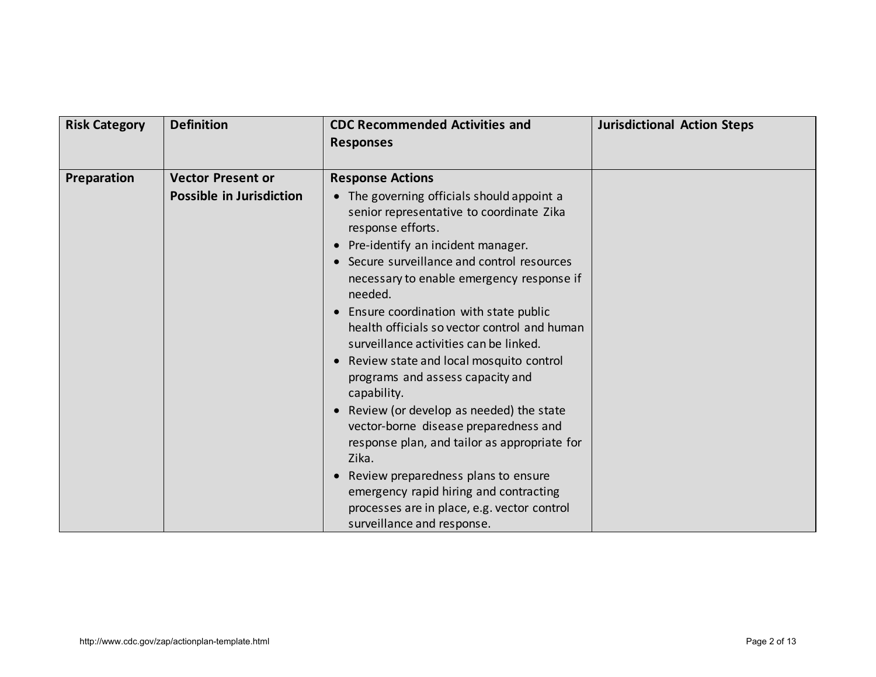| <b>Risk Category</b> | <b>Definition</b>               | <b>CDC Recommended Activities and</b>                                                                                                                                                                                                                                                                                                                                                                                                                                                                                                                                                                                                                      | <b>Jurisdictional Action Steps</b> |
|----------------------|---------------------------------|------------------------------------------------------------------------------------------------------------------------------------------------------------------------------------------------------------------------------------------------------------------------------------------------------------------------------------------------------------------------------------------------------------------------------------------------------------------------------------------------------------------------------------------------------------------------------------------------------------------------------------------------------------|------------------------------------|
|                      |                                 | <b>Responses</b>                                                                                                                                                                                                                                                                                                                                                                                                                                                                                                                                                                                                                                           |                                    |
|                      |                                 |                                                                                                                                                                                                                                                                                                                                                                                                                                                                                                                                                                                                                                                            |                                    |
| Preparation          | <b>Vector Present or</b>        | <b>Response Actions</b>                                                                                                                                                                                                                                                                                                                                                                                                                                                                                                                                                                                                                                    |                                    |
|                      | <b>Possible in Jurisdiction</b> | • The governing officials should appoint a<br>senior representative to coordinate Zika<br>response efforts.<br>• Pre-identify an incident manager.<br>• Secure surveillance and control resources<br>necessary to enable emergency response if<br>needed.<br>Ensure coordination with state public<br>$\bullet$<br>health officials so vector control and human<br>surveillance activities can be linked.<br>• Review state and local mosquito control<br>programs and assess capacity and<br>capability.<br>Review (or develop as needed) the state<br>$\bullet$<br>vector-borne disease preparedness and<br>response plan, and tailor as appropriate for |                                    |
|                      |                                 | Zika.<br>Review preparedness plans to ensure                                                                                                                                                                                                                                                                                                                                                                                                                                                                                                                                                                                                               |                                    |
|                      |                                 | emergency rapid hiring and contracting                                                                                                                                                                                                                                                                                                                                                                                                                                                                                                                                                                                                                     |                                    |
|                      |                                 | processes are in place, e.g. vector control                                                                                                                                                                                                                                                                                                                                                                                                                                                                                                                                                                                                                |                                    |
|                      |                                 | surveillance and response.                                                                                                                                                                                                                                                                                                                                                                                                                                                                                                                                                                                                                                 |                                    |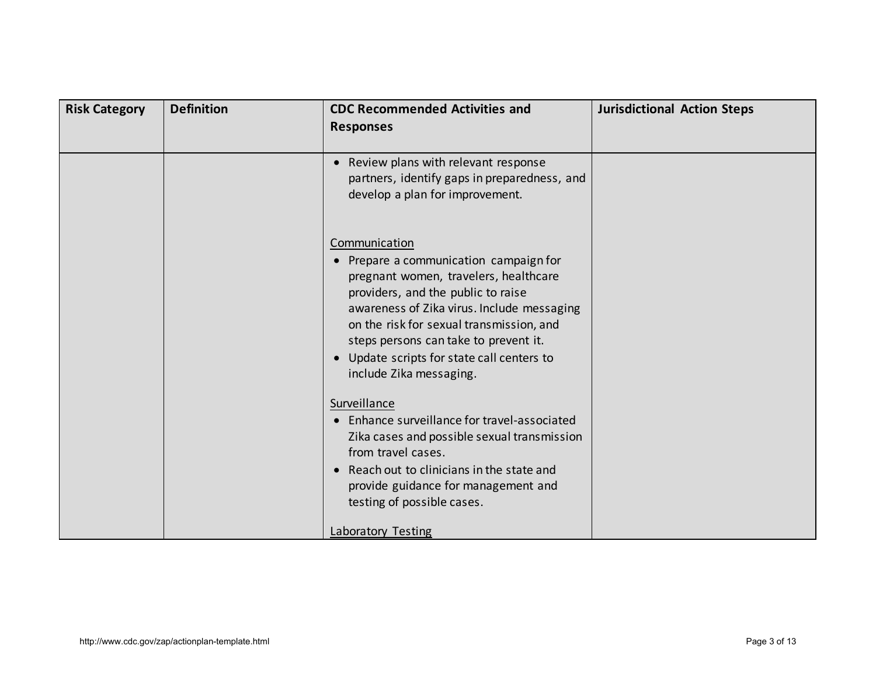| <b>Risk Category</b> | <b>Definition</b> | <b>CDC Recommended Activities and</b><br><b>Responses</b>                                                                                                                                                                                                                                                                                          | <b>Jurisdictional Action Steps</b> |
|----------------------|-------------------|----------------------------------------------------------------------------------------------------------------------------------------------------------------------------------------------------------------------------------------------------------------------------------------------------------------------------------------------------|------------------------------------|
|                      |                   | Review plans with relevant response<br>$\bullet$<br>partners, identify gaps in preparedness, and<br>develop a plan for improvement.                                                                                                                                                                                                                |                                    |
|                      |                   | Communication<br>• Prepare a communication campaign for<br>pregnant women, travelers, healthcare<br>providers, and the public to raise<br>awareness of Zika virus. Include messaging<br>on the risk for sexual transmission, and<br>steps persons can take to prevent it.<br>• Update scripts for state call centers to<br>include Zika messaging. |                                    |
|                      |                   | Surveillance<br>• Enhance surveillance for travel-associated<br>Zika cases and possible sexual transmission<br>from travel cases.<br>Reach out to clinicians in the state and<br>$\bullet$<br>provide guidance for management and<br>testing of possible cases.<br>Laboratory Testing                                                              |                                    |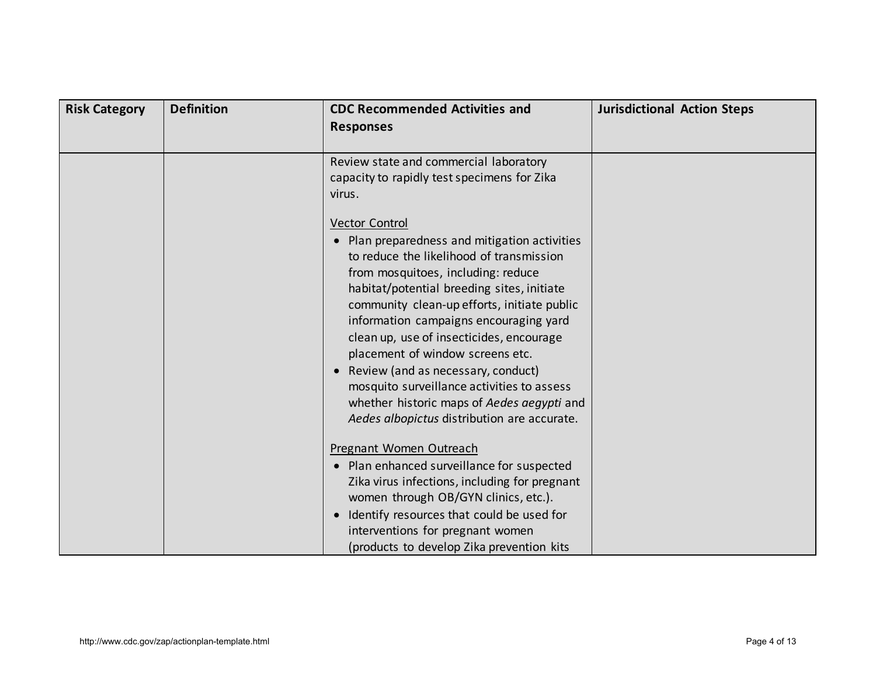| <b>Risk Category</b> | <b>Definition</b> | <b>CDC Recommended Activities and</b><br><b>Responses</b>                                                                                                                                                                                                                                                                                                                                                                                                                                                                                                                                                                                                                                                 | <b>Jurisdictional Action Steps</b> |
|----------------------|-------------------|-----------------------------------------------------------------------------------------------------------------------------------------------------------------------------------------------------------------------------------------------------------------------------------------------------------------------------------------------------------------------------------------------------------------------------------------------------------------------------------------------------------------------------------------------------------------------------------------------------------------------------------------------------------------------------------------------------------|------------------------------------|
|                      |                   | Review state and commercial laboratory<br>capacity to rapidly test specimens for Zika<br>virus.<br><b>Vector Control</b><br>Plan preparedness and mitigation activities<br>to reduce the likelihood of transmission<br>from mosquitoes, including: reduce<br>habitat/potential breeding sites, initiate<br>community clean-up efforts, initiate public<br>information campaigns encouraging yard<br>clean up, use of insecticides, encourage<br>placement of window screens etc.<br>Review (and as necessary, conduct)<br>$\bullet$<br>mosquito surveillance activities to assess<br>whether historic maps of Aedes aegypti and<br>Aedes albopictus distribution are accurate.<br>Pregnant Women Outreach |                                    |
|                      |                   | • Plan enhanced surveillance for suspected<br>Zika virus infections, including for pregnant<br>women through OB/GYN clinics, etc.).                                                                                                                                                                                                                                                                                                                                                                                                                                                                                                                                                                       |                                    |
|                      |                   | Identify resources that could be used for<br>$\bullet$<br>interventions for pregnant women<br>(products to develop Zika prevention kits                                                                                                                                                                                                                                                                                                                                                                                                                                                                                                                                                                   |                                    |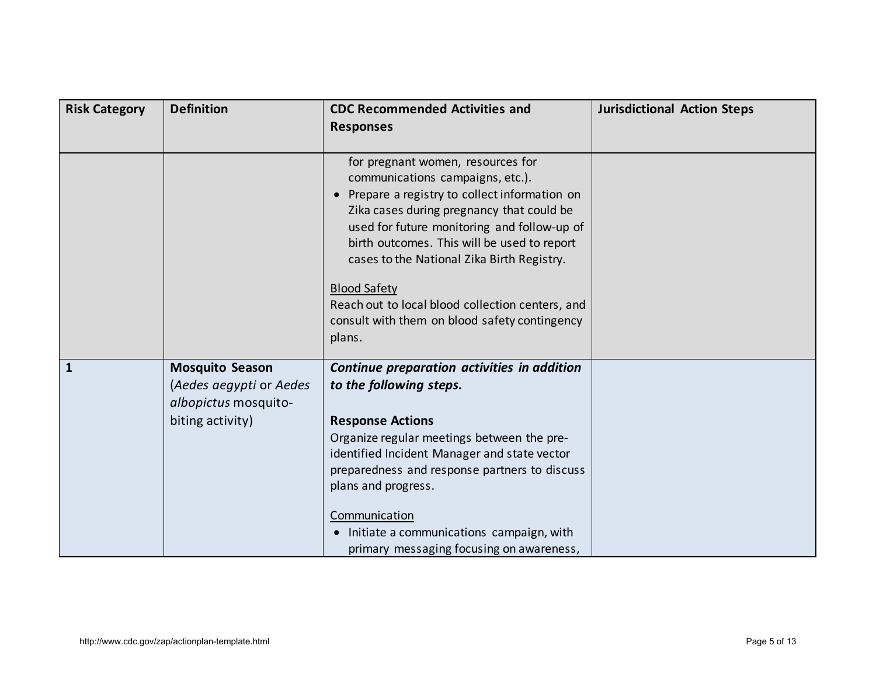| <b>Risk Category</b> | <b>Definition</b>                                                                             | <b>CDC Recommended Activities and</b><br><b>Responses</b>                                                                                                                                                                                                                                                                                                                                                                                                         | <b>Jurisdictional Action Steps</b> |
|----------------------|-----------------------------------------------------------------------------------------------|-------------------------------------------------------------------------------------------------------------------------------------------------------------------------------------------------------------------------------------------------------------------------------------------------------------------------------------------------------------------------------------------------------------------------------------------------------------------|------------------------------------|
|                      |                                                                                               | for pregnant women, resources for<br>communications campaigns, etc.).<br>Prepare a registry to collect information on<br>$\bullet$<br>Zika cases during pregnancy that could be<br>used for future monitoring and follow-up of<br>birth outcomes. This will be used to report<br>cases to the National Zika Birth Registry.<br><b>Blood Safety</b><br>Reach out to local blood collection centers, and<br>consult with them on blood safety contingency<br>plans. |                                    |
| $\mathbf{1}$         | <b>Mosquito Season</b><br>(Aedes aegypti or Aedes<br>albopictus mosquito-<br>biting activity) | Continue preparation activities in addition<br>to the following steps.<br><b>Response Actions</b><br>Organize regular meetings between the pre-<br>identified Incident Manager and state vector<br>preparedness and response partners to discuss<br>plans and progress.<br>Communication<br>• Initiate a communications campaign, with<br>primary messaging focusing on awareness,                                                                                |                                    |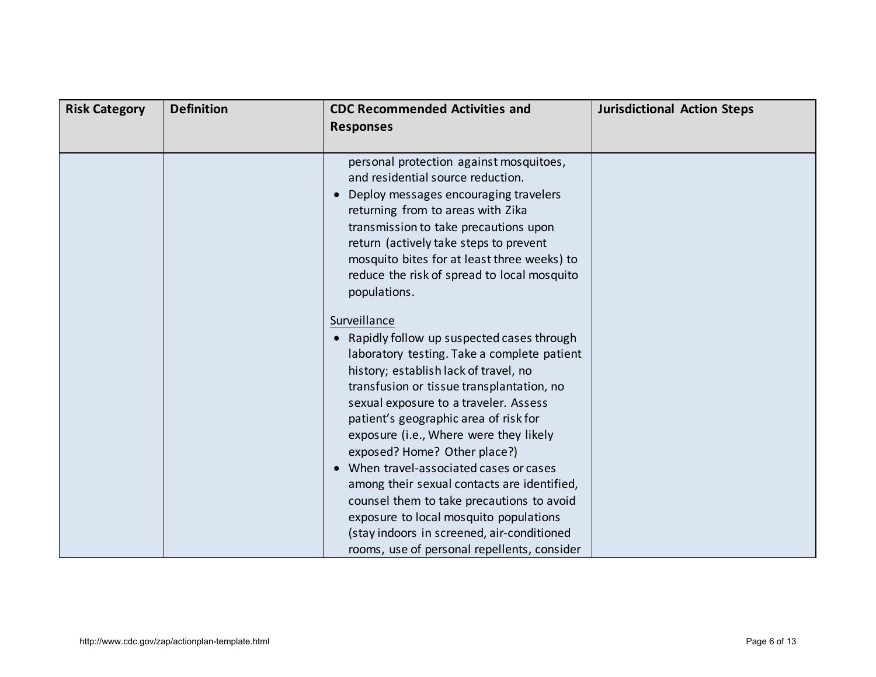| <b>Risk Category</b> | <b>Definition</b> | <b>CDC Recommended Activities and</b><br><b>Responses</b>                                                                                                                                                                                                                                                                                                                                                                                                                                                                                                                                                                                | <b>Jurisdictional Action Steps</b> |
|----------------------|-------------------|------------------------------------------------------------------------------------------------------------------------------------------------------------------------------------------------------------------------------------------------------------------------------------------------------------------------------------------------------------------------------------------------------------------------------------------------------------------------------------------------------------------------------------------------------------------------------------------------------------------------------------------|------------------------------------|
|                      |                   | personal protection against mosquitoes,<br>and residential source reduction.<br>Deploy messages encouraging travelers<br>$\bullet$<br>returning from to areas with Zika<br>transmission to take precautions upon<br>return (actively take steps to prevent<br>mosquito bites for at least three weeks) to<br>reduce the risk of spread to local mosquito<br>populations.                                                                                                                                                                                                                                                                 |                                    |
|                      |                   | Surveillance<br>• Rapidly follow up suspected cases through<br>laboratory testing. Take a complete patient<br>history; establish lack of travel, no<br>transfusion or tissue transplantation, no<br>sexual exposure to a traveler. Assess<br>patient's geographic area of risk for<br>exposure (i.e., Where were they likely<br>exposed? Home? Other place?)<br>When travel-associated cases or cases<br>among their sexual contacts are identified,<br>counsel them to take precautions to avoid<br>exposure to local mosquito populations<br>(stay indoors in screened, air-conditioned<br>rooms, use of personal repellents, consider |                                    |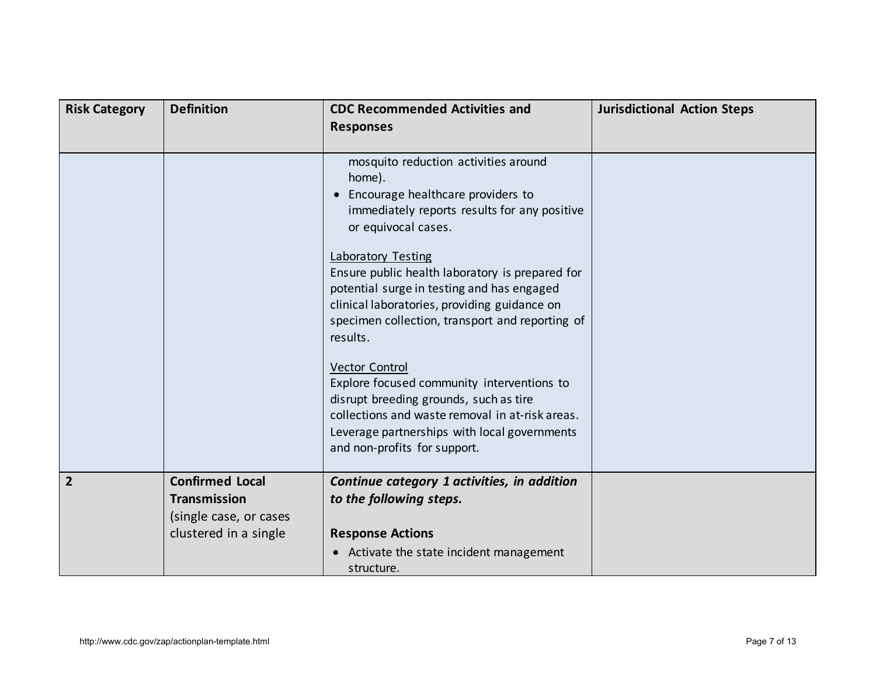| <b>Risk Category</b> | <b>Definition</b>                                                                                | <b>CDC Recommended Activities and</b><br><b>Responses</b>                                                                                                                                                                                                                                                                                                                                                                                                                                                                                                                                                                                                                | <b>Jurisdictional Action Steps</b> |
|----------------------|--------------------------------------------------------------------------------------------------|--------------------------------------------------------------------------------------------------------------------------------------------------------------------------------------------------------------------------------------------------------------------------------------------------------------------------------------------------------------------------------------------------------------------------------------------------------------------------------------------------------------------------------------------------------------------------------------------------------------------------------------------------------------------------|------------------------------------|
|                      |                                                                                                  | mosquito reduction activities around<br>home).<br>Encourage healthcare providers to<br>$\bullet$<br>immediately reports results for any positive<br>or equivocal cases.<br><b>Laboratory Testing</b><br>Ensure public health laboratory is prepared for<br>potential surge in testing and has engaged<br>clinical laboratories, providing guidance on<br>specimen collection, transport and reporting of<br>results.<br><b>Vector Control</b><br>Explore focused community interventions to<br>disrupt breeding grounds, such as tire<br>collections and waste removal in at-risk areas.<br>Leverage partnerships with local governments<br>and non-profits for support. |                                    |
| $\overline{2}$       | <b>Confirmed Local</b><br><b>Transmission</b><br>(single case, or cases<br>clustered in a single | Continue category 1 activities, in addition<br>to the following steps.<br><b>Response Actions</b><br>Activate the state incident management<br>$\bullet$<br>structure.                                                                                                                                                                                                                                                                                                                                                                                                                                                                                                   |                                    |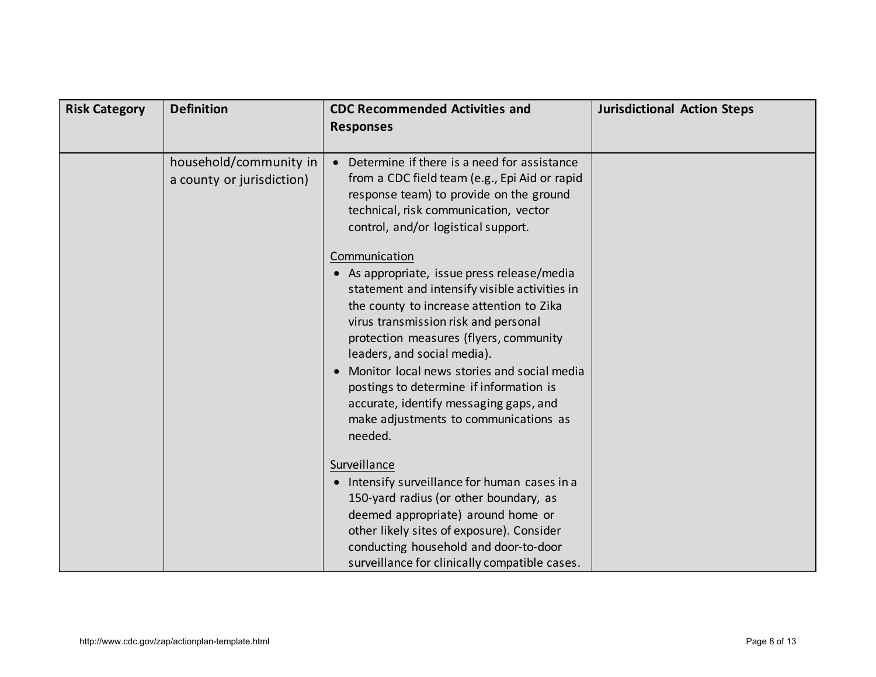| <b>Risk Category</b> | <b>Definition</b>                                   | <b>CDC Recommended Activities and</b><br><b>Responses</b>                                                                                                                                                                                                                                                                                                                                                                                                          | <b>Jurisdictional Action Steps</b> |
|----------------------|-----------------------------------------------------|--------------------------------------------------------------------------------------------------------------------------------------------------------------------------------------------------------------------------------------------------------------------------------------------------------------------------------------------------------------------------------------------------------------------------------------------------------------------|------------------------------------|
|                      | household/community in<br>a county or jurisdiction) | Determine if there is a need for assistance<br>from a CDC field team (e.g., Epi Aid or rapid<br>response team) to provide on the ground<br>technical, risk communication, vector<br>control, and/or logistical support.                                                                                                                                                                                                                                            |                                    |
|                      |                                                     | Communication<br>• As appropriate, issue press release/media<br>statement and intensify visible activities in<br>the county to increase attention to Zika<br>virus transmission risk and personal<br>protection measures (flyers, community<br>leaders, and social media).<br>Monitor local news stories and social media<br>postings to determine if information is<br>accurate, identify messaging gaps, and<br>make adjustments to communications as<br>needed. |                                    |
|                      |                                                     | Surveillance<br>Intensify surveillance for human cases in a<br>$\bullet$<br>150-yard radius (or other boundary, as<br>deemed appropriate) around home or<br>other likely sites of exposure). Consider<br>conducting household and door-to-door<br>surveillance for clinically compatible cases.                                                                                                                                                                    |                                    |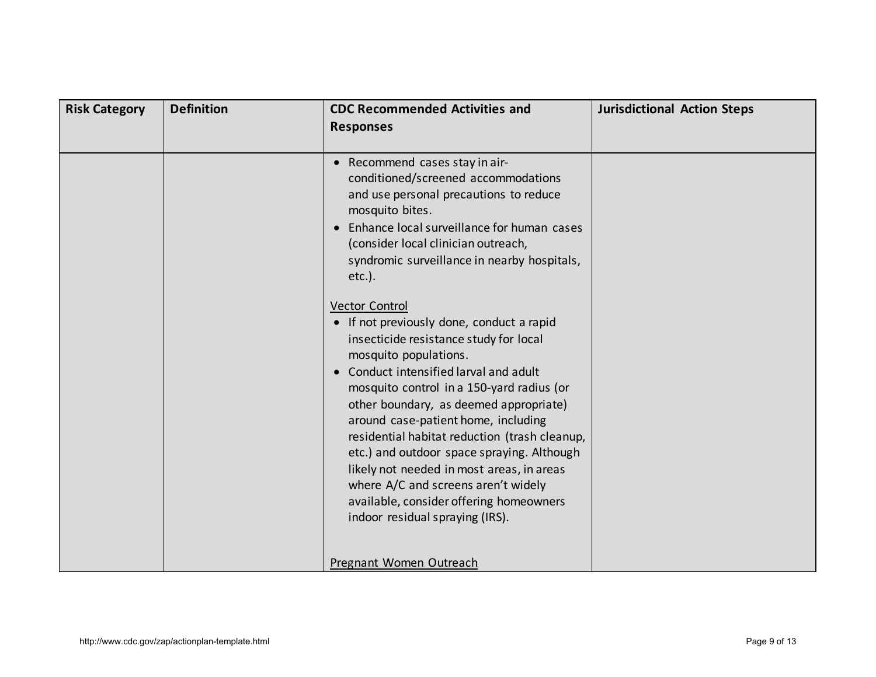| <b>Risk Category</b> | <b>Definition</b> | <b>CDC Recommended Activities and</b><br><b>Responses</b>                                                                                                                                                                                                                                                                                                                                                                                                                                                                                                                    | <b>Jurisdictional Action Steps</b> |
|----------------------|-------------------|------------------------------------------------------------------------------------------------------------------------------------------------------------------------------------------------------------------------------------------------------------------------------------------------------------------------------------------------------------------------------------------------------------------------------------------------------------------------------------------------------------------------------------------------------------------------------|------------------------------------|
|                      |                   | • Recommend cases stay in air-<br>conditioned/screened accommodations<br>and use personal precautions to reduce<br>mosquito bites.<br>• Enhance local surveillance for human cases<br>(consider local clinician outreach,<br>syndromic surveillance in nearby hospitals,<br>$etc.$ ).                                                                                                                                                                                                                                                                                        |                                    |
|                      |                   | <b>Vector Control</b><br>• If not previously done, conduct a rapid<br>insecticide resistance study for local<br>mosquito populations.<br>Conduct intensified larval and adult<br>mosquito control in a 150-yard radius (or<br>other boundary, as deemed appropriate)<br>around case-patient home, including<br>residential habitat reduction (trash cleanup,<br>etc.) and outdoor space spraying. Although<br>likely not needed in most areas, in areas<br>where A/C and screens aren't widely<br>available, consider offering homeowners<br>indoor residual spraying (IRS). |                                    |
|                      |                   | Pregnant Women Outreach                                                                                                                                                                                                                                                                                                                                                                                                                                                                                                                                                      |                                    |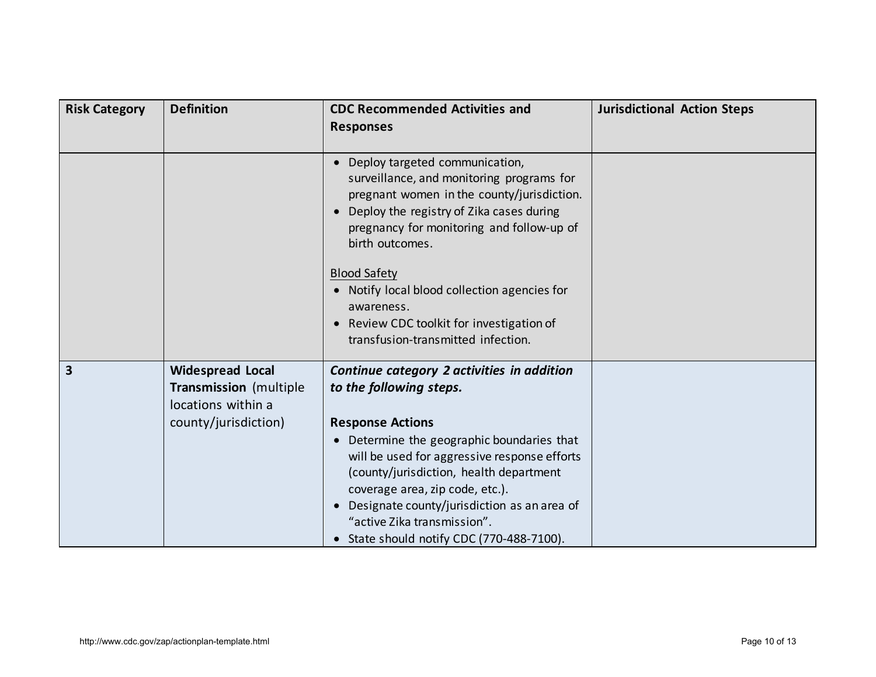| <b>Risk Category</b> | <b>Definition</b>                                                                                      | <b>CDC Recommended Activities and</b><br><b>Responses</b>                                                                                                                                                                                                                                                                                                                                                                             | <b>Jurisdictional Action Steps</b> |
|----------------------|--------------------------------------------------------------------------------------------------------|---------------------------------------------------------------------------------------------------------------------------------------------------------------------------------------------------------------------------------------------------------------------------------------------------------------------------------------------------------------------------------------------------------------------------------------|------------------------------------|
|                      |                                                                                                        | Deploy targeted communication,<br>surveillance, and monitoring programs for<br>pregnant women in the county/jurisdiction.<br>Deploy the registry of Zika cases during<br>$\bullet$<br>pregnancy for monitoring and follow-up of<br>birth outcomes.<br><b>Blood Safety</b><br>• Notify local blood collection agencies for<br>awareness.<br>Review CDC toolkit for investigation of<br>$\bullet$<br>transfusion-transmitted infection. |                                    |
| 3                    | <b>Widespread Local</b><br><b>Transmission</b> (multiple<br>locations within a<br>county/jurisdiction) | Continue category 2 activities in addition<br>to the following steps.<br><b>Response Actions</b><br>Determine the geographic boundaries that<br>$\bullet$<br>will be used for aggressive response efforts<br>(county/jurisdiction, health department<br>coverage area, zip code, etc.).<br>• Designate county/jurisdiction as an area of<br>"active Zika transmission".<br>• State should notify CDC (770-488-7100).                  |                                    |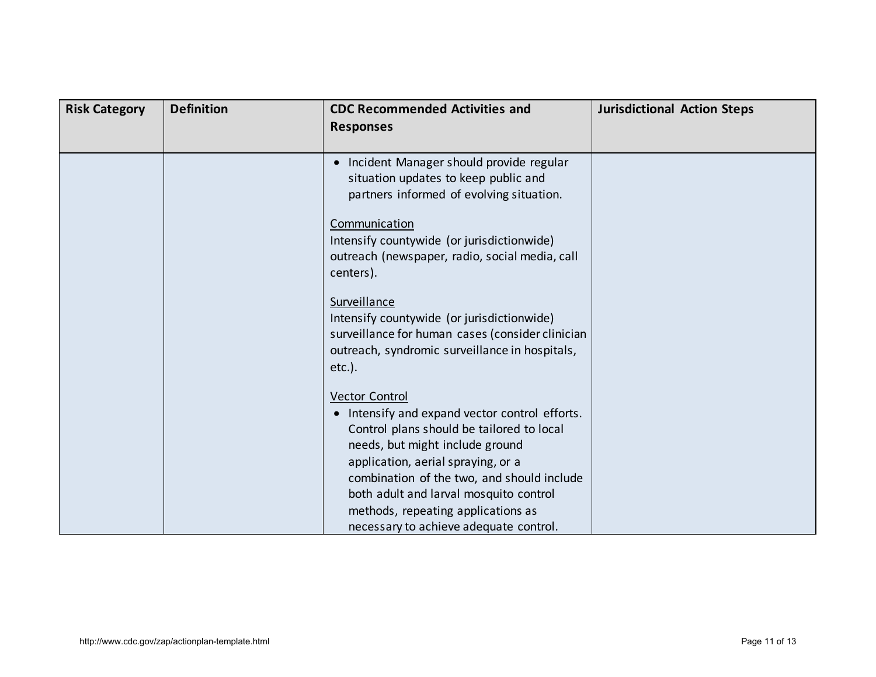| <b>Risk Category</b> | <b>Definition</b> | <b>CDC Recommended Activities and</b><br><b>Responses</b>                                                                                                                                                                                                                             | <b>Jurisdictional Action Steps</b> |
|----------------------|-------------------|---------------------------------------------------------------------------------------------------------------------------------------------------------------------------------------------------------------------------------------------------------------------------------------|------------------------------------|
|                      |                   | Incident Manager should provide regular<br>$\bullet$<br>situation updates to keep public and<br>partners informed of evolving situation.                                                                                                                                              |                                    |
|                      |                   | Communication<br>Intensify countywide (or jurisdictionwide)<br>outreach (newspaper, radio, social media, call<br>centers).                                                                                                                                                            |                                    |
|                      |                   | Surveillance<br>Intensify countywide (or jurisdictionwide)<br>surveillance for human cases (consider clinician<br>outreach, syndromic surveillance in hospitals,<br>$etc.$ ).                                                                                                         |                                    |
|                      |                   | <b>Vector Control</b><br>• Intensify and expand vector control efforts.<br>Control plans should be tailored to local<br>needs, but might include ground<br>application, aerial spraying, or a<br>combination of the two, and should include<br>both adult and larval mosquito control |                                    |
|                      |                   | methods, repeating applications as<br>necessary to achieve adequate control.                                                                                                                                                                                                          |                                    |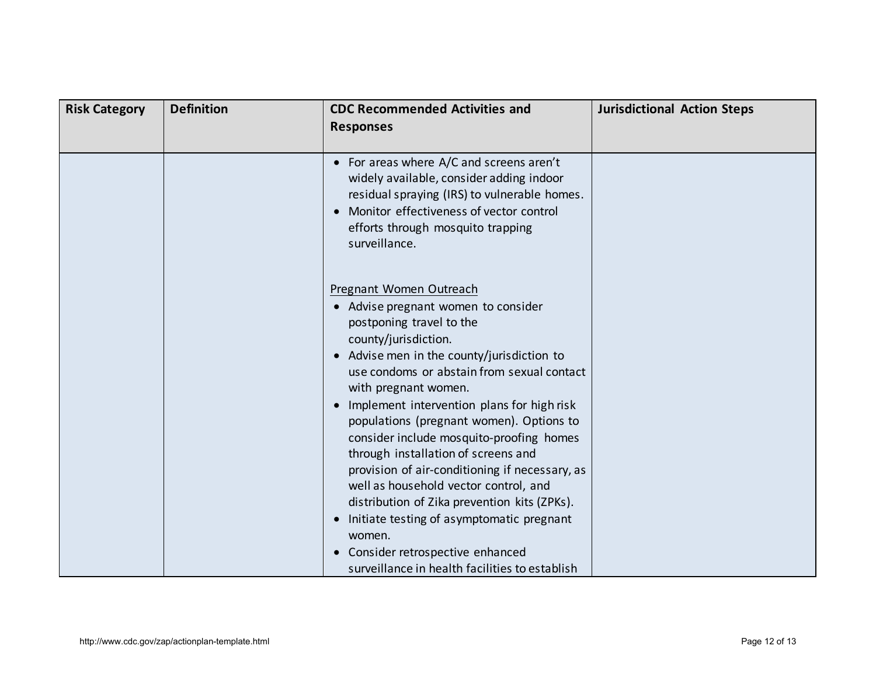| <b>Risk Category</b> | <b>Definition</b> | <b>CDC Recommended Activities and</b><br><b>Responses</b>                                                                                                                                                                                                                                                                                                                                                                                                                                                                                                                                                                                                                                                                            | <b>Jurisdictional Action Steps</b> |
|----------------------|-------------------|--------------------------------------------------------------------------------------------------------------------------------------------------------------------------------------------------------------------------------------------------------------------------------------------------------------------------------------------------------------------------------------------------------------------------------------------------------------------------------------------------------------------------------------------------------------------------------------------------------------------------------------------------------------------------------------------------------------------------------------|------------------------------------|
|                      |                   | • For areas where A/C and screens aren't<br>widely available, consider adding indoor<br>residual spraying (IRS) to vulnerable homes.<br>Monitor effectiveness of vector control<br>$\bullet$<br>efforts through mosquito trapping<br>surveillance.                                                                                                                                                                                                                                                                                                                                                                                                                                                                                   |                                    |
|                      |                   | Pregnant Women Outreach<br>• Advise pregnant women to consider<br>postponing travel to the<br>county/jurisdiction.<br>• Advise men in the county/jurisdiction to<br>use condoms or abstain from sexual contact<br>with pregnant women.<br>Implement intervention plans for high risk<br>$\bullet$<br>populations (pregnant women). Options to<br>consider include mosquito-proofing homes<br>through installation of screens and<br>provision of air-conditioning if necessary, as<br>well as household vector control, and<br>distribution of Zika prevention kits (ZPKs).<br>Initiate testing of asymptomatic pregnant<br>$\bullet$<br>women.<br>Consider retrospective enhanced<br>surveillance in health facilities to establish |                                    |